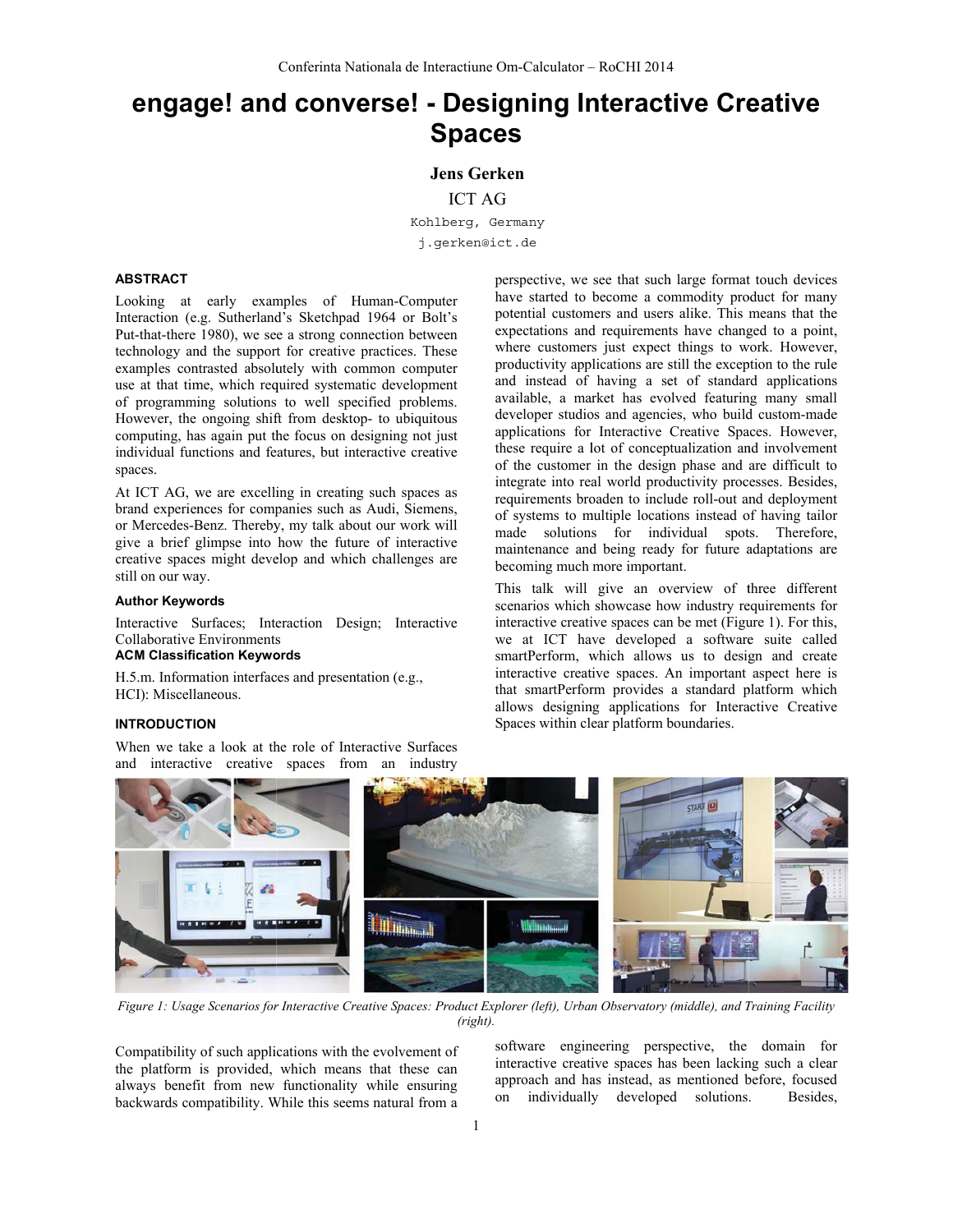# engage! and converse! - Designing Interactive Creative **Spaces**

**Jens Gerken** 

**ICT AG** 

Kohlberg, Germany j.gerken@ict.de

#### **ABSTRACT**

Looking at early examples of Human-Computer Interaction (e.g. Sutherland's Sketchpad 1964 or Bolt's Put-that-there 1980), we see a strong connection between technology and the support for creative practices. These examples contrasted absolutely with common computer use at that time, which required systematic development of programming solutions to well specified problems. However, the ongoing shift from desktop- to ubiquitous computing, has again put the focus on designing not just individual functions and features, but interactive creative spaces.

At ICT AG, we are excelling in creating such spaces as brand experiences for companies such as Audi, Siemens, or Mercedes-Benz. Thereby, my talk about our work will give a brief glimpse into how the future of interactive creative spaces might develop and which challenges are still on our way.

#### **Author Keywords**

Interactive Surfaces; Interaction Design; Interactive **Collaborative Environments** 

# **ACM Classification Keywords**

H.5.m. Information interfaces and presentation (e.g., HCI): Miscellaneous.

# **INTRODUCTION**

When we take a look at the role of Interactive Surfaces and interactive creative spaces from an industry

perspective, we see that such large format touch devices have started to become a commodity product for many potential customers and users alike. This means that the expectations and requirements have changed to a point, where customers just expect things to work. However, productivity applications are still the exception to the rule and instead of having a set of standard applications available, a market has evolved featuring many small developer studios and agencies, who build custom-made applications for Interactive Creative Spaces. However, these require a lot of conceptualization and involvement of the customer in the design phase and are difficult to integrate into real world productivity processes. Besides, requirements broaden to include roll-out and deployment of systems to multiple locations instead of having tailor made solutions for individual spots. Therefore, maintenance and being ready for future adaptations are becoming much more important.

This talk will give an overview of three different scenarios which showcase how industry requirements for interactive creative spaces can be met (Figure 1). For this, we at ICT have developed a software suite called smartPerform, which allows us to design and create interactive creative spaces. An important aspect here is that smartPerform provides a standard platform which allows designing applications for Interactive Creative Spaces within clear platform boundaries.



Figure 1: Usage Scenarios for Interactive Creative Spaces: Product Explorer (left), Urban Observatory (middle), and Training Facility  $(right)$ .

Compatibility of such applications with the evolvement of the platform is provided, which means that these can always benefit from new functionality while ensuring backwards compatibility. While this seems natural from a

software engineering perspective, the domain for interactive creative spaces has been lacking such a clear approach and has instead, as mentioned before, focused individually developed solutions. Besides,  $on$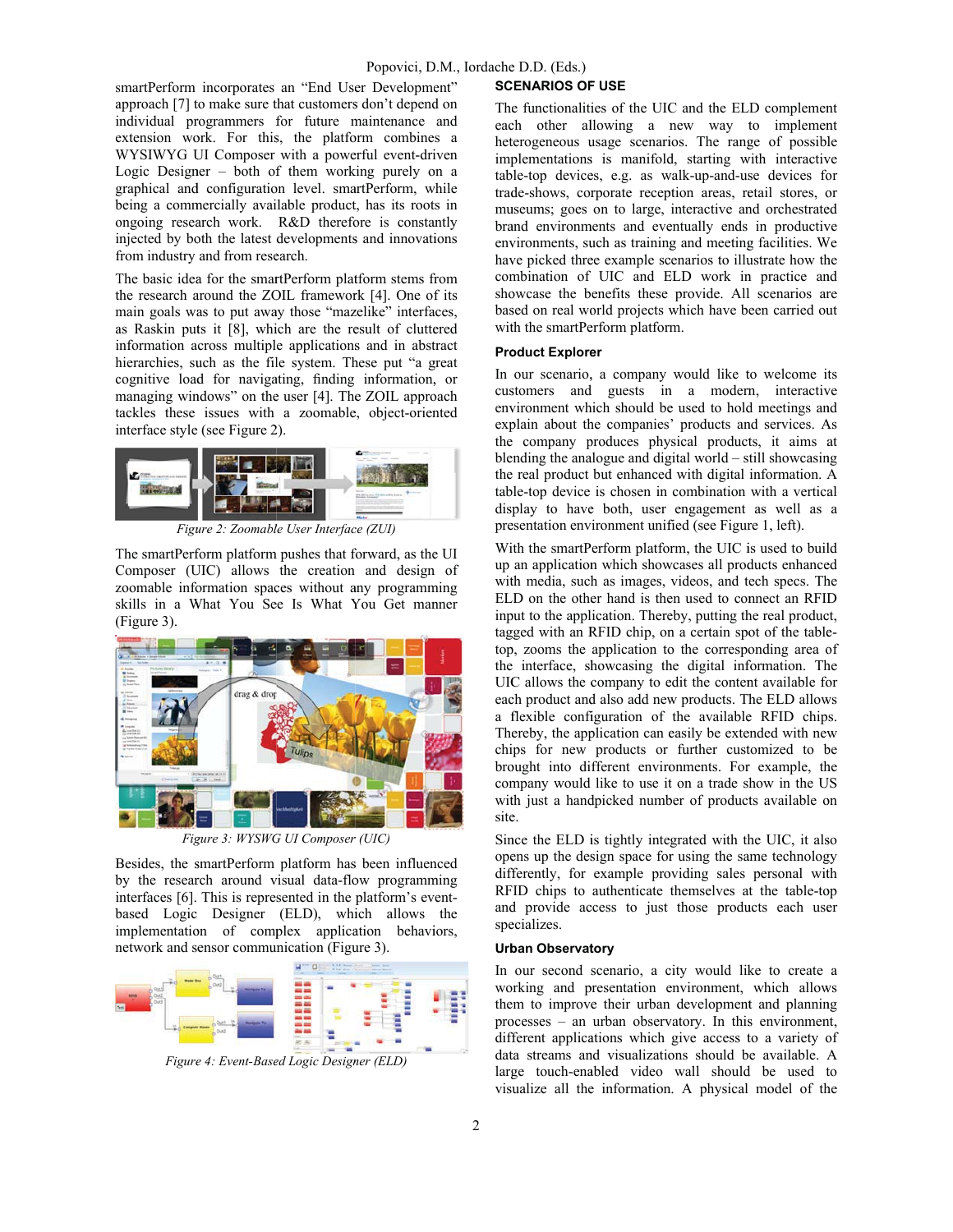smartPerform incorporates an "End User Development" approach [7] to make sure that customers don't depend on individual programmers for future maintenance and extension work. For this, the platform combines a WYSIWYG UI Composer with a powerful event-driven Logic Designer – both of them working purely on a graphical and configuration level. smartPerform, while being a commercially available product, has its roots in ongoing research work. R&D therefore is constantly injected by both the latest developments and innovations from industry and from research.

The basic idea for the smartPerform platform stems from the research around the ZOIL framework [4]. One of its main goals was to put away those "mazelike" interfaces, as Raskin puts it [8], which are the result of cluttered information across multiple applications and in abstract hierarchies, such as the file system. These put "a great cognitive load for navigating, finding information, or managing windows" on the user [4]. The ZOIL approach tackles these issues with a zoomable, object-oriented interface style (see Figure 2).



Figure 2: Zoomable User Interface (ZUI)

The smartPerform platform pushes that forward, as the UI Composer (UIC) allows the creation and design of zoomable information spaces without any programming skills in a What You See Is What You Get manner (Figure 3).



Figure 3: WYSWG UI Composer (UIC)

Besides, the smartPerform platform has been influenced by the research around visual data-flow programming interfaces [6]. This is represented in the platform's eventbased Logic Designer (ELD), which allows the implementation of complex application behaviors, network and sensor communication (Figure 3).



Figure 4: Event-Based Logic Designer (ELD)

#### **SCENARIOS OF USE**

The functionalities of the UIC and the ELD complement each other allowing a new way to implement heterogeneous usage scenarios. The range of possible implementations is manifold, starting with interactive table-top devices, e.g. as walk-up-and-use devices for trade-shows, corporate reception areas, retail stores, or museums; goes on to large, interactive and orchestrated brand environments and eventually ends in productive environments, such as training and meeting facilities. We have picked three example scenarios to illustrate how the combination of UIC and ELD work in practice and showcase the benefits these provide. All scenarios are based on real world projects which have been carried out with the smartPerform platform.

## **Product Explorer**

In our scenario, a company would like to welcome its customers and guests in a modern, interactive environment which should be used to hold meetings and explain about the companies' products and services. As the company produces physical products, it aims at blending the analogue and digital world  $-$  still showcasing the real product but enhanced with digital information. A table-top device is chosen in combination with a vertical display to have both, user engagement as well as a presentation environment unified (see Figure 1, left).

With the smartPerform platform, the UIC is used to build up an application which showcases all products enhanced with media, such as images, videos, and tech specs. The ELD on the other hand is then used to connect an RFID input to the application. Thereby, putting the real product, tagged with an RFID chip, on a certain spot of the tabletop, zooms the application to the corresponding area of the interface, showcasing the digital information. The UIC allows the company to edit the content available for each product and also add new products. The ELD allows a flexible configuration of the available RFID chips. Thereby, the application can easily be extended with new chips for new products or further customized to be brought into different environments. For example, the company would like to use it on a trade show in the US with just a handpicked number of products available on site.

Since the ELD is tightly integrated with the UIC, it also opens up the design space for using the same technology differently, for example providing sales personal with RFID chips to authenticate themselves at the table-top and provide access to just those products each user specializes.

# **Urban Observatory**

In our second scenario, a city would like to create a working and presentation environment, which allows them to improve their urban development and planning processes – an urban observatory. In this environment, different applications which give access to a variety of data streams and visualizations should be available. A large touch-enabled video wall should be used to visualize all the information. A physical model of the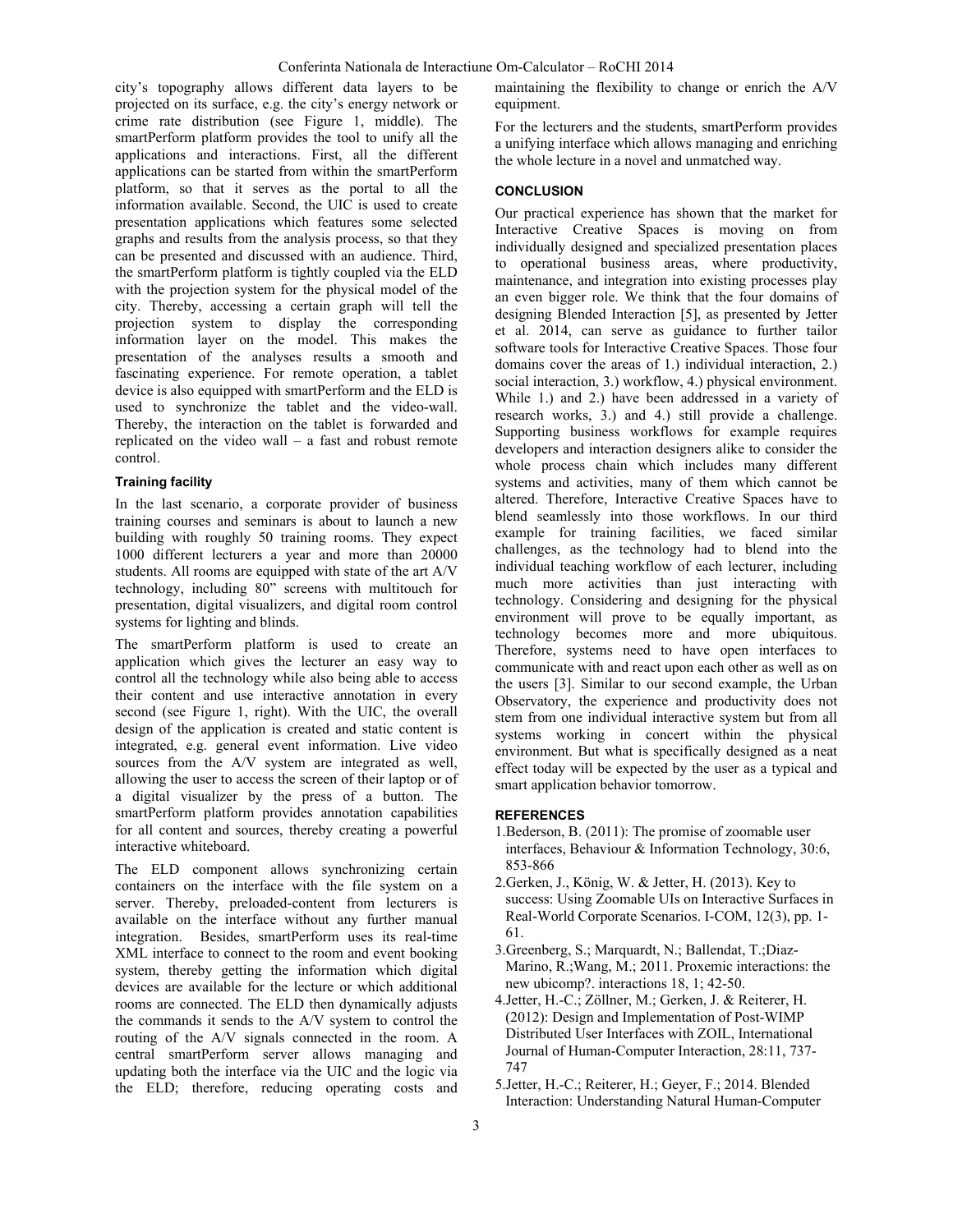city's topography allows different data layers to be projected on its surface, e.g. the city's energy network or crime rate distribution (see Figure 1, middle). The smartPerform platform provides the tool to unify all the applications and interactions. First, all the different applications can be started from within the smartPerform platform, so that it serves as the portal to all the information available. Second, the UIC is used to create presentation applications which features some selected graphs and results from the analysis process, so that they can be presented and discussed with an audience. Third, the smartPerform platform is tightly coupled via the ELD with the projection system for the physical model of the city. Thereby, accessing a certain graph will tell the projection system to display the corresponding information layer on the model. This makes the presentation of the analyses results a smooth and fascinating experience. For remote operation, a tablet device is also equipped with smartPerform and the ELD is used to synchronize the tablet and the video-wall. Thereby, the interaction on the tablet is forwarded and replicated on the video wall – a fast and robust remote control.

# **Training facility**

In the last scenario, a corporate provider of business training courses and seminars is about to launch a new building with roughly 50 training rooms. They expect 1000 different lecturers a year and more than 20000 students. All rooms are equipped with state of the art A/V technology, including 80" screens with multitouch for presentation, digital visualizers, and digital room control systems for lighting and blinds.

The smartPerform platform is used to create an application which gives the lecturer an easy way to control all the technology while also being able to access their content and use interactive annotation in every second (see Figure 1, right). With the UIC, the overall design of the application is created and static content is integrated, e.g. general event information. Live video sources from the A/V system are integrated as well, allowing the user to access the screen of their laptop or of a digital visualizer by the press of a button. The smartPerform platform provides annotation capabilities for all content and sources, thereby creating a powerful interactive whiteboard.

The ELD component allows synchronizing certain containers on the interface with the file system on a server. Thereby, preloaded-content from lecturers is available on the interface without any further manual integration. Besides, smartPerform uses its real-time XML interface to connect to the room and event booking system, thereby getting the information which digital devices are available for the lecture or which additional rooms are connected. The ELD then dynamically adjusts the commands it sends to the A/V system to control the routing of the A/V signals connected in the room. A central smartPerform server allows managing and updating both the interface via the UIC and the logic via the ELD; therefore, reducing operating costs and maintaining the flexibility to change or enrich the A/V equipment.

For the lecturers and the students, smartPerform provides a unifying interface which allows managing and enriching the whole lecture in a novel and unmatched way.

# **CONCLUSION**

Our practical experience has shown that the market for Interactive Creative Spaces is moving on from individually designed and specialized presentation places to operational business areas, where productivity, maintenance, and integration into existing processes play an even bigger role. We think that the four domains of designing Blended Interaction [5], as presented by Jetter et al. 2014, can serve as guidance to further tailor software tools for Interactive Creative Spaces. Those four domains cover the areas of 1.) individual interaction, 2.) social interaction, 3.) workflow, 4.) physical environment. While 1.) and 2.) have been addressed in a variety of research works, 3.) and 4.) still provide a challenge. Supporting business workflows for example requires developers and interaction designers alike to consider the whole process chain which includes many different systems and activities, many of them which cannot be altered. Therefore, Interactive Creative Spaces have to blend seamlessly into those workflows. In our third example for training facilities, we faced similar challenges, as the technology had to blend into the individual teaching workflow of each lecturer, including much more activities than just interacting with technology. Considering and designing for the physical environment will prove to be equally important, as technology becomes more and more ubiquitous. Therefore, systems need to have open interfaces to communicate with and react upon each other as well as on the users [3]. Similar to our second example, the Urban Observatory, the experience and productivity does not stem from one individual interactive system but from all systems working in concert within the physical environment. But what is specifically designed as a neat effect today will be expected by the user as a typical and smart application behavior tomorrow.

#### **REFERENCES**

- 1.Bederson, B. (2011): The promise of zoomable user interfaces, Behaviour & Information Technology, 30:6, 853-866
- 2.Gerken, J., König, W. & Jetter, H. (2013). Key to success: Using Zoomable UIs on Interactive Surfaces in Real-World Corporate Scenarios. I-COM, 12(3), pp. 1- 61.
- 3.Greenberg, S.; Marquardt, N.; Ballendat, T.;Diaz-Marino, R.;Wang, M.; 2011. Proxemic interactions: the new ubicomp?. interactions 18, 1; 42-50.
- 4.Jetter, H.-C.; Zöllner, M.; Gerken, J. & Reiterer, H. (2012): Design and Implementation of Post-WIMP Distributed User Interfaces with ZOIL, International Journal of Human-Computer Interaction, 28:11, 737- 747
- 5.Jetter, H.-C.; Reiterer, H.; Geyer, F.; 2014. Blended Interaction: Understanding Natural Human-Computer